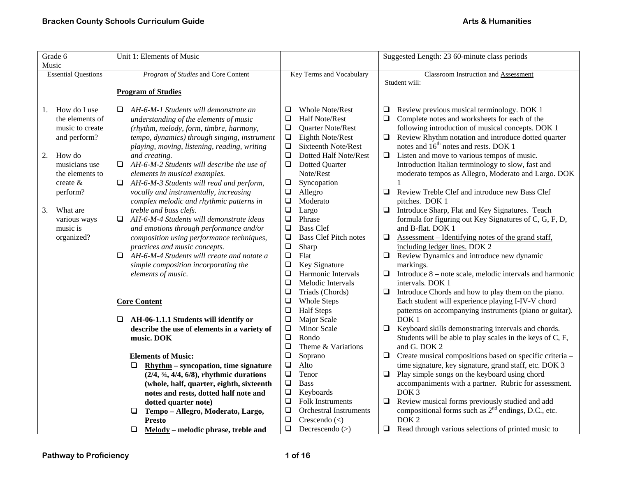| Grade 6                    | Unit 1: Elements of Music                                           |                                        | Suggested Length: 23 60-minute class periods                       |
|----------------------------|---------------------------------------------------------------------|----------------------------------------|--------------------------------------------------------------------|
| Music                      |                                                                     |                                        |                                                                    |
| <b>Essential Questions</b> | Program of Studies and Core Content                                 | Key Terms and Vocabulary               | Classroom Instruction and Assessment                               |
|                            |                                                                     |                                        | Student will:                                                      |
|                            | <b>Program of Studies</b>                                           |                                        |                                                                    |
| How do I use<br>1.         | AH-6-M-1 Students will demonstrate an<br>□                          | <b>Whole Note/Rest</b><br>❏            | Review previous musical terminology. DOK 1<br>❏.                   |
| the elements of            | understanding of the elements of music                              | $\Box$<br><b>Half Note/Rest</b>        | Complete notes and worksheets for each of the<br>$\Box$            |
| music to create            | (rhythm, melody, form, timbre, harmony,                             | $\Box$<br>Quarter Note/Rest            | following introduction of musical concepts. DOK 1                  |
| and perform?               | tempo, dynamics) through singing, instrument                        | $\Box$<br>Eighth Note/Rest             | Review Rhythm notation and introduce dotted quarter<br>$\Box$      |
|                            | playing, moving, listening, reading, writing                        | $\Box$<br><b>Sixteenth Note/Rest</b>   | notes and 16 <sup>th</sup> notes and rests. DOK 1                  |
| How do<br>2.               | and creating.                                                       | $\Box$<br>Dotted Half Note/Rest        | $\Box$ Listen and move to various tempos of music.                 |
| musicians use              | AH-6-M-2 Students will describe the use of<br>□                     | $\Box$<br>Dotted Quarter               | Introduction Italian terminology to slow, fast and                 |
| the elements to            | elements in musical examples.                                       | Note/Rest                              | moderato tempos as Allegro, Moderato and Largo. DOK                |
| create &                   | AH-6-M-3 Students will read and perform,<br>□                       | $\Box$<br>Syncopation                  |                                                                    |
| perform?                   | vocally and instrumentally, increasing                              | $\Box$<br>Allegro                      | $\Box$<br>Review Treble Clef and introduce new Bass Clef           |
|                            | complex melodic and rhythmic patterns in                            | $\Box$<br>Moderato                     | pitches. DOK 1                                                     |
| What are<br>3.             | treble and bass clefs.                                              | $\Box$<br>Largo                        | $\Box$<br>Introduce Sharp, Flat and Key Signatures. Teach          |
| various ways               | AH-6-M-4 Students will demonstrate ideas<br>□                       | $\Box$<br>Phrase                       | formula for figuring out Key Signatures of C, G, F, D,             |
| music is                   | and emotions through performance and/or                             | ❏<br><b>Bass Clef</b>                  | and B-flat. DOK 1                                                  |
| organized?                 | composition using performance techniques,                           | $\Box$<br><b>Bass Clef Pitch notes</b> | $\Box$<br>Assessment – Identifying notes of the grand staff,       |
|                            | practices and music concepts.                                       | $\Box$<br>Sharp                        | including ledger lines. DOK 2                                      |
|                            | AH-6-M-4 Students will create and notate a<br>$\Box$                | $\Box$<br>Flat                         | $\Box$<br>Review Dynamics and introduce new dynamic                |
|                            | simple composition incorporating the                                | $\Box$<br>Key Signature                | markings.                                                          |
|                            | elements of music.                                                  | □<br>Harmonic Intervals                | Introduce 8 – note scale, melodic intervals and harmonic<br>$\Box$ |
|                            |                                                                     | $\Box$<br>Melodic Intervals            | intervals. DOK 1                                                   |
|                            |                                                                     | ❏<br>Triads (Chords)                   | Introduce Chords and how to play them on the piano.<br>$\Box$      |
|                            | <b>Core Content</b>                                                 | $\Box$<br><b>Whole Steps</b>           | Each student will experience playing I-IV-V chord                  |
|                            |                                                                     | $\Box$<br><b>Half Steps</b>            | patterns on accompanying instruments (piano or guitar).            |
|                            | AH-06-1.1.1 Students will identify or<br>⊔                          | $\Box$<br>Major Scale                  | DOK <sub>1</sub>                                                   |
|                            | describe the use of elements in a variety of                        | $\Box$<br>Minor Scale                  | Keyboard skills demonstrating intervals and chords.<br>$\Box$      |
|                            | music. DOK                                                          | $\Box$<br>Rondo                        | Students will be able to play scales in the keys of C, F,          |
|                            |                                                                     | $\Box$<br>Theme & Variations           | and G. DOK 2                                                       |
|                            | <b>Elements of Music:</b>                                           | $\Box$<br>Soprano                      | $\Box$ Create musical compositions based on specific criteria –    |
|                            | $R$ hythm – syncopation, time signature<br>❏                        | $\Box$<br>Alto                         | time signature, key signature, grand staff, etc. DOK 3             |
|                            | $(2/4, \frac{3}{4}, \frac{4}{4}, \frac{6}{8})$ , rhythmic durations | $\Box$<br>Tenor                        | $\Box$<br>Play simple songs on the keyboard using chord            |
|                            | (whole, half, quarter, eighth, sixteenth                            | $\Box$<br><b>Bass</b>                  | accompaniments with a partner. Rubric for assessment.              |
|                            | notes and rests, dotted half note and                               | $\Box$<br>Keyboards                    | DOK <sub>3</sub>                                                   |
|                            | dotted quarter note)                                                | $\Box$<br><b>Folk Instruments</b>      | Review musical forms previously studied and add<br>$\Box$          |
|                            | Tempo - Allegro, Moderato, Largo,<br>□                              | <b>Orchestral Instruments</b><br>❏     | compositional forms such as 2 <sup>nd</sup> endings, D.C., etc.    |
|                            | <b>Presto</b>                                                       | $\Box$<br>Crescendo $(\le)$            | DOK <sub>2</sub>                                                   |
|                            | $\Box$ Melody – melodic phrase, treble and                          | $\Box$<br>Decrescendo $(>)$            | $\Box$<br>Read through various selections of printed music to      |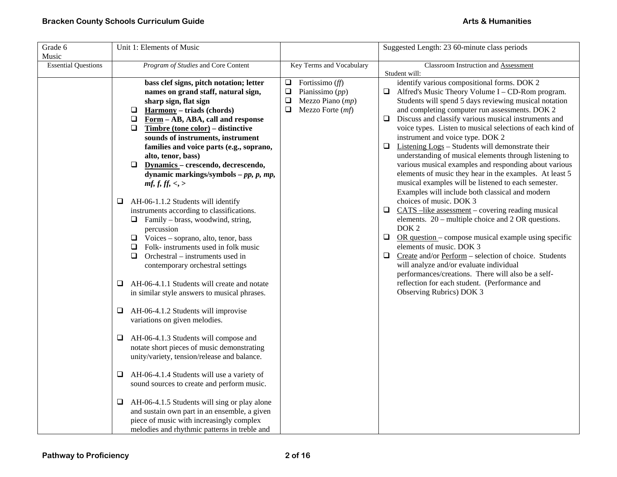| Grade 6<br>Music           | Unit 1: Elements of Music                                                                                                                                                                                                                                                                                                                                                                                                                                                                                                                                                                                                                                                                                                                                                                                                                                                                                                                                                    |                                                                                                                   | Suggested Length: 23 60-minute class periods                                                                                                                                                                                                                                                                                                                                                                                                                                                                                                                                                                                                                                                                                                                                                                                                                                                                                                                                                                                                                                                                                                                                                                                                                                 |
|----------------------------|------------------------------------------------------------------------------------------------------------------------------------------------------------------------------------------------------------------------------------------------------------------------------------------------------------------------------------------------------------------------------------------------------------------------------------------------------------------------------------------------------------------------------------------------------------------------------------------------------------------------------------------------------------------------------------------------------------------------------------------------------------------------------------------------------------------------------------------------------------------------------------------------------------------------------------------------------------------------------|-------------------------------------------------------------------------------------------------------------------|------------------------------------------------------------------------------------------------------------------------------------------------------------------------------------------------------------------------------------------------------------------------------------------------------------------------------------------------------------------------------------------------------------------------------------------------------------------------------------------------------------------------------------------------------------------------------------------------------------------------------------------------------------------------------------------------------------------------------------------------------------------------------------------------------------------------------------------------------------------------------------------------------------------------------------------------------------------------------------------------------------------------------------------------------------------------------------------------------------------------------------------------------------------------------------------------------------------------------------------------------------------------------|
| <b>Essential Questions</b> | Program of Studies and Core Content                                                                                                                                                                                                                                                                                                                                                                                                                                                                                                                                                                                                                                                                                                                                                                                                                                                                                                                                          | Key Terms and Vocabulary                                                                                          | Classroom Instruction and Assessment                                                                                                                                                                                                                                                                                                                                                                                                                                                                                                                                                                                                                                                                                                                                                                                                                                                                                                                                                                                                                                                                                                                                                                                                                                         |
|                            | bass clef signs, pitch notation; letter<br>names on grand staff, natural sign,<br>sharp sign, flat sign<br><b>Harmony</b> – triads (chords)<br>❏<br>Form - AB, ABA, call and response<br>$\Box$<br>$\Box$<br>Timbre (tone color) – distinctive<br>sounds of instruments, instrument<br>families and voice parts (e.g., soprano,<br>alto, tenor, bass)<br>Dynamics - crescendo, decrescendo,<br>⊔<br>dynamic markings/symbols $-pp$ , p, mp,<br>mf, f, ff, <, ><br>AH-06-1.1.2 Students will identify<br>❏<br>instruments according to classifications.<br>Family – brass, woodwind, string,<br>⊔<br>percussion<br>$\Box$ Voices – soprano, alto, tenor, bass<br>Folk- instruments used in folk music<br>$\Box$<br>Orchestral – instruments used in<br>❏<br>contemporary orchestral settings<br>AH-06-4.1.1 Students will create and notate<br>❏<br>in similar style answers to musical phrases.<br>AH-06-4.1.2 Students will improvise<br>⊔<br>variations on given melodies. | Fortissimo $(ff)$<br>$\Box$<br>$\Box$<br>Pianissimo $(pp)$<br>$\Box$<br>Mezzo Piano (mp)<br>Mezzo Forte (mf)<br>❏ | Student will:<br>identify various compositional forms. DOK 2<br>Alfred's Music Theory Volume I – CD-Rom program.<br>$\Box$<br>Students will spend 5 days reviewing musical notation<br>and completing computer run assessments. DOK 2<br>Discuss and classify various musical instruments and<br>$\Box$<br>voice types. Listen to musical selections of each kind of<br>instrument and voice type. DOK 2<br>Listening $Logs - Students$ will demonstrate their<br>$\Box$<br>understanding of musical elements through listening to<br>various musical examples and responding about various<br>elements of music they hear in the examples. At least 5<br>musical examples will be listened to each semester.<br>Examples will include both classical and modern<br>choices of music. DOK 3<br>$CATS$ –like assessment – covering reading musical<br>⊔<br>elements. 20 – multiple choice and 2 OR questions.<br>DOK <sub>2</sub><br>$OR$ question – compose musical example using specific<br>$\Box$<br>elements of music. DOK 3<br>Create and/or Perform - selection of choice. Students<br>⊔<br>will analyze and/or evaluate individual<br>performances/creations. There will also be a self-<br>reflection for each student. (Performance and<br>Observing Rubrics) DOK 3 |
|                            | AH-06-4.1.3 Students will compose and<br>⊔<br>notate short pieces of music demonstrating<br>unity/variety, tension/release and balance.                                                                                                                                                                                                                                                                                                                                                                                                                                                                                                                                                                                                                                                                                                                                                                                                                                      |                                                                                                                   |                                                                                                                                                                                                                                                                                                                                                                                                                                                                                                                                                                                                                                                                                                                                                                                                                                                                                                                                                                                                                                                                                                                                                                                                                                                                              |
|                            | AH-06-4.1.4 Students will use a variety of<br>$\Box$<br>sound sources to create and perform music.                                                                                                                                                                                                                                                                                                                                                                                                                                                                                                                                                                                                                                                                                                                                                                                                                                                                           |                                                                                                                   |                                                                                                                                                                                                                                                                                                                                                                                                                                                                                                                                                                                                                                                                                                                                                                                                                                                                                                                                                                                                                                                                                                                                                                                                                                                                              |
|                            | AH-06-4.1.5 Students will sing or play alone<br>⊔<br>and sustain own part in an ensemble, a given<br>piece of music with increasingly complex<br>melodies and rhythmic patterns in treble and                                                                                                                                                                                                                                                                                                                                                                                                                                                                                                                                                                                                                                                                                                                                                                                |                                                                                                                   |                                                                                                                                                                                                                                                                                                                                                                                                                                                                                                                                                                                                                                                                                                                                                                                                                                                                                                                                                                                                                                                                                                                                                                                                                                                                              |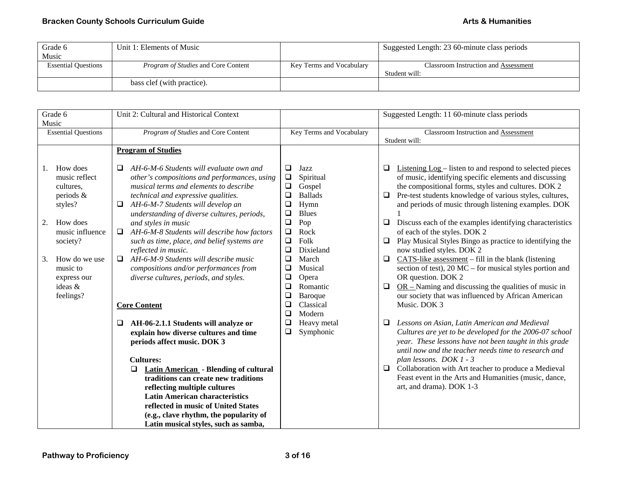| Grade 6                    | Unit 1: Elements of Music                  |                          | Suggested Length: 23 60-minute class periods |
|----------------------------|--------------------------------------------|--------------------------|----------------------------------------------|
| Music                      |                                            |                          |                                              |
| <b>Essential Questions</b> | <i>Program of Studies</i> and Core Content | Key Terms and Vocabulary | Classroom Instruction and Assessment         |
|                            |                                            |                          | Student will:                                |
|                            | bass clef (with practice).                 |                          |                                              |

| Grade 6                                                                                                                                                                                                  | Unit 2: Cultural and Historical Context                                                                                                                                                                                                                                                                                                                                                                                                                                                                                                                                                                                                                                                                                      |                                                                                                                                                                                                                                                                                                                                                                                       | Suggested Length: 11 60-minute class periods                                                                                                                                                                                                                                                                                                                                                                                                                                                                                                                                                                                                                                                                                                                                                                                                                                                                                                                                                                                        |
|----------------------------------------------------------------------------------------------------------------------------------------------------------------------------------------------------------|------------------------------------------------------------------------------------------------------------------------------------------------------------------------------------------------------------------------------------------------------------------------------------------------------------------------------------------------------------------------------------------------------------------------------------------------------------------------------------------------------------------------------------------------------------------------------------------------------------------------------------------------------------------------------------------------------------------------------|---------------------------------------------------------------------------------------------------------------------------------------------------------------------------------------------------------------------------------------------------------------------------------------------------------------------------------------------------------------------------------------|-------------------------------------------------------------------------------------------------------------------------------------------------------------------------------------------------------------------------------------------------------------------------------------------------------------------------------------------------------------------------------------------------------------------------------------------------------------------------------------------------------------------------------------------------------------------------------------------------------------------------------------------------------------------------------------------------------------------------------------------------------------------------------------------------------------------------------------------------------------------------------------------------------------------------------------------------------------------------------------------------------------------------------------|
| <b>Essential Questions</b>                                                                                                                                                                               | Program of Studies and Core Content                                                                                                                                                                                                                                                                                                                                                                                                                                                                                                                                                                                                                                                                                          | Key Terms and Vocabulary                                                                                                                                                                                                                                                                                                                                                              | <b>Classroom Instruction and Assessment</b><br>Student will:                                                                                                                                                                                                                                                                                                                                                                                                                                                                                                                                                                                                                                                                                                                                                                                                                                                                                                                                                                        |
| Music<br>How does<br>1.<br>music reflect<br>cultures.<br>periods &<br>styles?<br>2.<br>How does<br>music influence<br>society?<br>How do we use<br>3.<br>music to<br>express our<br>ideas &<br>feelings? | <b>Program of Studies</b><br>AH-6-M-6 Students will evaluate own and<br>⊔<br>other's compositions and performances, using<br>musical terms and elements to describe<br>technical and expressive qualities.<br>AH-6-M-7 Students will develop an<br>understanding of diverse cultures, periods,<br>and styles in music<br>AH-6-M-8 Students will describe how factors<br>such as time, place, and belief systems are<br>reflected in music.<br>AH-6-M-9 Students will describe music<br>$\Box$<br>compositions and/or performances from<br>diverse cultures, periods, and styles.<br><b>Core Content</b><br>AH-06-2.1.1 Students will analyze or<br>□<br>explain how diverse cultures and time<br>periods affect music. DOK 3 | $\Box$<br>Jazz<br>Spiritual<br>$\Box$<br>Gospel<br>❏<br><b>Ballads</b><br>❏<br>$\Box$<br>Hymn<br>$\Box$<br><b>Blues</b><br>$\Box$<br>Pop<br>$\Box$<br>Rock<br>$\Box$<br>Folk<br>Dixieland<br>❏<br>$\Box$<br>March<br>$\Box$<br>Musical<br>$\Box$<br>Opera<br>Romantic<br>❏<br>$\Box$<br>Baroque<br>❏<br>Classical<br>$\Box$<br>Modern<br>$\Box$<br>Heavy metal<br>$\Box$<br>Symphonic | Listening $Log$ – listen to and respond to selected pieces<br>❏<br>of music, identifying specific elements and discussing<br>the compositional forms, styles and cultures. DOK 2<br>Pre-test students knowledge of various styles, cultures,<br>□<br>and periods of music through listening examples. DOK<br>Discuss each of the examples identifying characteristics<br>of each of the styles. DOK 2<br>Play Musical Styles Bingo as practice to identifying the<br>❏<br>now studied styles. DOK 2<br>CATS-like assessment $-$ fill in the blank (listening<br>□<br>section of test), $20$ MC – for musical styles portion and<br>OR question. DOK 2<br>$OR$ – Naming and discussing the qualities of music in<br>$\Box$<br>our society that was influenced by African American<br>Music. DOK 3<br>Lessons on Asian, Latin American and Medieval<br>⊔<br>Cultures are yet to be developed for the 2006-07 school<br>year. These lessons have not been taught in this grade<br>until now and the teacher needs time to research and |
|                                                                                                                                                                                                          | <b>Cultures:</b><br><b>Latin American</b> - Blending of cultural<br>$\Box$<br>traditions can create new traditions<br>reflecting multiple cultures<br><b>Latin American characteristics</b><br>reflected in music of United States<br>(e.g., clave rhythm, the popularity of<br>Latin musical styles, such as samba,                                                                                                                                                                                                                                                                                                                                                                                                         |                                                                                                                                                                                                                                                                                                                                                                                       | plan lessons. DOK 1 - 3<br>Collaboration with Art teacher to produce a Medieval<br>$\Box$<br>Feast event in the Arts and Humanities (music, dance,<br>art, and drama). DOK 1-3                                                                                                                                                                                                                                                                                                                                                                                                                                                                                                                                                                                                                                                                                                                                                                                                                                                      |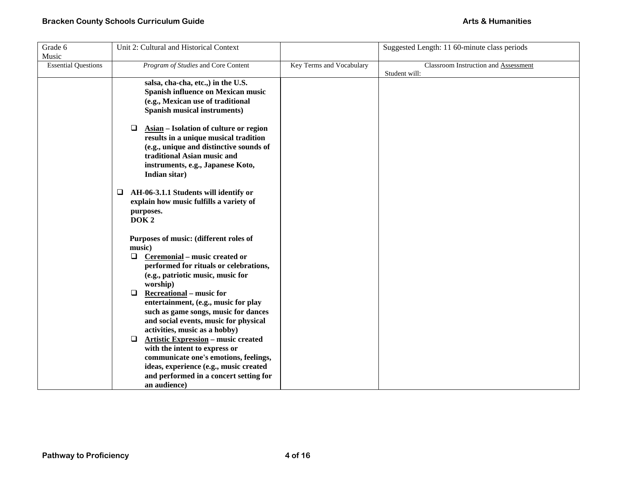| Grade 6                    | Unit 2: Cultural and Historical Context              |                          | Suggested Length: 11 60-minute class periods |
|----------------------------|------------------------------------------------------|--------------------------|----------------------------------------------|
| Music                      |                                                      |                          |                                              |
| <b>Essential Questions</b> | Program of Studies and Core Content                  | Key Terms and Vocabulary | Classroom Instruction and Assessment         |
|                            |                                                      |                          | Student will:                                |
|                            | salsa, cha-cha, etc.,) in the U.S.                   |                          |                                              |
|                            | Spanish influence on Mexican music                   |                          |                                              |
|                            | (e.g., Mexican use of traditional                    |                          |                                              |
|                            | <b>Spanish musical instruments)</b>                  |                          |                                              |
|                            |                                                      |                          |                                              |
|                            | $\Box$<br>Asian - Isolation of culture or region     |                          |                                              |
|                            | results in a unique musical tradition                |                          |                                              |
|                            | (e.g., unique and distinctive sounds of              |                          |                                              |
|                            | traditional Asian music and                          |                          |                                              |
|                            | instruments, e.g., Japanese Koto,                    |                          |                                              |
|                            | Indian sitar)                                        |                          |                                              |
|                            | AH-06-3.1.1 Students will identify or<br>$\Box$      |                          |                                              |
|                            | explain how music fulfills a variety of              |                          |                                              |
|                            | purposes.                                            |                          |                                              |
|                            | DOK <sub>2</sub>                                     |                          |                                              |
|                            |                                                      |                          |                                              |
|                            | Purposes of music: (different roles of               |                          |                                              |
|                            | music)                                               |                          |                                              |
|                            | Ceremonial – music created or<br>$\Box$              |                          |                                              |
|                            | performed for rituals or celebrations,               |                          |                                              |
|                            | (e.g., patriotic music, music for                    |                          |                                              |
|                            | worship)                                             |                          |                                              |
|                            | <b>Recreational</b> – music for<br>$\Box$            |                          |                                              |
|                            | entertainment, (e.g., music for play                 |                          |                                              |
|                            | such as game songs, music for dances                 |                          |                                              |
|                            | and social events, music for physical                |                          |                                              |
|                            | activities, music as a hobby)                        |                          |                                              |
|                            | <b>Artistic Expression</b> – music created<br>$\Box$ |                          |                                              |
|                            | with the intent to express or                        |                          |                                              |
|                            | communicate one's emotions, feelings,                |                          |                                              |
|                            | ideas, experience (e.g., music created               |                          |                                              |
|                            | and performed in a concert setting for               |                          |                                              |
|                            | an audience)                                         |                          |                                              |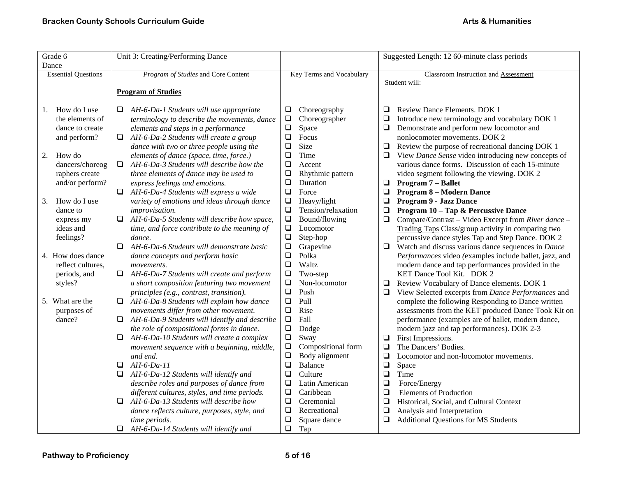| Grade 6                    | Unit 3: Creating/Performing Dance                   |                              | Suggested Length: 12 60-minute class periods                     |
|----------------------------|-----------------------------------------------------|------------------------------|------------------------------------------------------------------|
| Dance                      | Program of Studies and Core Content                 | Key Terms and Vocabulary     | <b>Classroom Instruction and Assessment</b>                      |
| <b>Essential Questions</b> |                                                     |                              | Student will:                                                    |
|                            | <b>Program of Studies</b>                           |                              |                                                                  |
|                            |                                                     |                              |                                                                  |
| How do I use<br>1.         | AH-6-Da-1 Students will use appropriate<br>⊔        | Choreography<br>$\Box$       | Review Dance Elements. DOK 1<br>$\Box$                           |
| the elements of            | terminology to describe the movements, dance        | Choreographer<br>$\Box$      | $\Box$<br>Introduce new terminology and vocabulary DOK 1         |
| dance to create            | elements and steps in a performance                 | $\Box$<br>Space              | Demonstrate and perform new locomotor and<br>❏                   |
| and perform?               | $\Box$ AH-6-Da-2 Students will create a group       | $\Box$<br>Focus              | nonlocomoter movements. DOK 2                                    |
|                            | dance with two or three people using the            | $\Box$<br>Size               | $\Box$<br>Review the purpose of recreational dancing DOK 1       |
| 2.<br>How do               | elements of dance (space, time, force.)             | $\Box$<br>Time               | View Dance Sense video introducing new concepts of<br>$\Box$     |
| dancers/choreog            | $\Box$ AH-6-Da-3 Students will describe how the     | $\Box$<br>Accent             | various dance forms. Discussion of each 15-minute                |
| raphers create             | three elements of dance may be used to              | $\Box$<br>Rhythmic pattern   | video segment following the viewing. DOK 2                       |
| and/or perform?            | express feelings and emotions.                      | $\Box$<br>Duration           | $\Box$ Program 7 – Ballet                                        |
|                            | $\Box$ AH-6-Da-4 Students will express a wide       | $\Box$<br>Force              | $\Box$<br><b>Program 8 - Modern Dance</b>                        |
| How do I use<br>3.         | variety of emotions and ideas through dance         | $\Box$<br>Heavy/light        | $\Box$<br>Program 9 - Jazz Dance                                 |
| dance to                   | improvisation.                                      | $\Box$<br>Tension/relaxation | $\Box$<br>Program 10 - Tap & Percussive Dance                    |
| express my                 | AH-6-Da-5 Students will describe how space,<br>Q.   | $\Box$<br>Bound/flowing      | Compare/Contrast – Video Excerpt from River dance –<br>$\Box$    |
| ideas and                  | time, and force contribute to the meaning of        | $\Box$<br>Locomotor          | Trading Taps Class/group activity in comparing two               |
| feelings?                  | dance.                                              | $\Box$<br>Step-hop           | percussive dance styles Tap and Step Dance. DOK 2                |
|                            | AH-6-Da-6 Students will demonstrate basic<br>$\Box$ | $\Box$<br>Grapevine          | $\Box$ Watch and discuss various dance sequences in <i>Dance</i> |
| 4. How does dance          | dance concepts and perform basic                    | Polka<br>$\Box$              | Performances video (examples include ballet, jazz, and           |
| reflect cultures,          | movements.                                          | $\Box$<br>Waltz              | modern dance and tap performances provided in the                |
| periods, and               | $\Box$ AH-6-Da-7 Students will create and perform   | $\Box$<br>Two-step           | KET Dance Tool Kit. DOK 2                                        |
| styles?                    | a short composition featuring two movement          | $\Box$<br>Non-locomotor      | $\Box$<br>Review Vocabulary of Dance elements. DOK 1             |
|                            | principles (e.g., contrast, transition).            | $\Box$<br>Push               | View Selected excerpts from Dance Performances and<br>❏.         |
| 5. What are the            | AH-6-Da-8 Students will explain how dance<br>❏      | Pull<br>$\Box$               | complete the following Responding to Dance written               |
| purposes of                | movements differ from other movement.               | $\Box$<br>Rise               | assessments from the KET produced Dance Took Kit on              |
| dance?                     | AH-6-Da-9 Students will identify and describe<br>Q. | $\Box$<br>Fall               | performance (examples are of ballet, modern dance,               |
|                            | the role of compositional forms in dance.           | $\Box$<br>Dodge              | modern jazz and tap performances). DOK 2-3                       |
|                            | AH-6-Da-10 Students will create a complex<br>Q.     | $\Box$<br>Sway               | First Impressions.<br>❏                                          |
|                            | movement sequence with a beginning, middle,         | $\Box$<br>Compositional form | $\Box$<br>The Dancers' Bodies.                                   |
|                            | and end.                                            | $\Box$<br>Body alignment     | $\Box$<br>Locomotor and non-locomotor movements.                 |
|                            | $\Box$<br>$AH-6-Da-11$                              | $\Box$<br>Balance            | $\Box$<br>Space                                                  |
|                            | AH-6-Da-12 Students will identify and<br>$\Box$     | $\Box$<br>Culture            | $\Box$<br>Time                                                   |
|                            | describe roles and purposes of dance from           | $\Box$<br>Latin American     | $\Box$<br>Force/Energy                                           |
|                            | different cultures, styles, and time periods.       | $\Box$<br>Caribbean          | $\Box$<br><b>Elements of Production</b>                          |
|                            | AH-6-Da-13 Students will describe how<br>Q.         | $\Box$<br>Ceremonial         | $\Box$<br>Historical, Social, and Cultural Context               |
|                            | dance reflects culture, purposes, style, and        | $\Box$<br>Recreational       | $\Box$<br>Analysis and Interpretation                            |
|                            | time periods.                                       | $\Box$<br>Square dance       | Additional Questions for MS Students<br>$\Box$                   |
|                            | $\Box$ AH-6-Da-14 Students will identify and        | $\Box$<br>Tap                |                                                                  |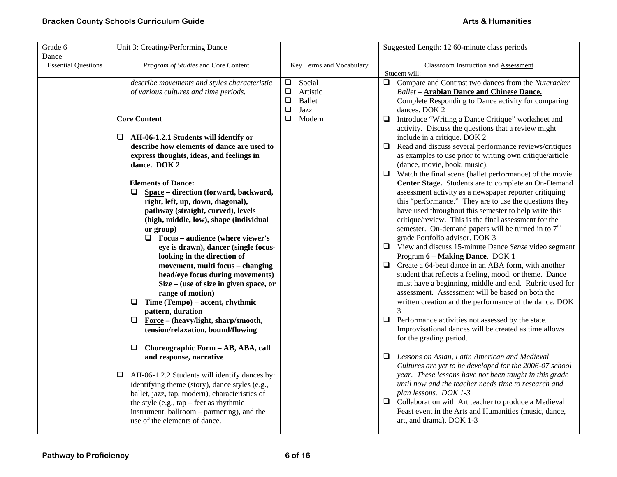| Grade 6<br>Dance           | Unit 3: Creating/Performing Dance                                                                                                                                                                                                                                                                                                                       |                                                                                  | Suggested Length: 12 60-minute class periods                                                                                                                                                                                                                                                                                                                                                                                                                                                                                                           |
|----------------------------|---------------------------------------------------------------------------------------------------------------------------------------------------------------------------------------------------------------------------------------------------------------------------------------------------------------------------------------------------------|----------------------------------------------------------------------------------|--------------------------------------------------------------------------------------------------------------------------------------------------------------------------------------------------------------------------------------------------------------------------------------------------------------------------------------------------------------------------------------------------------------------------------------------------------------------------------------------------------------------------------------------------------|
| <b>Essential Questions</b> | Program of Studies and Core Content                                                                                                                                                                                                                                                                                                                     | Key Terms and Vocabulary                                                         | Classroom Instruction and Assessment<br>Student will:                                                                                                                                                                                                                                                                                                                                                                                                                                                                                                  |
|                            | describe movements and styles characteristic<br>of various cultures and time periods.                                                                                                                                                                                                                                                                   | $\Box$ Social<br>$\Box$<br>Artistic<br>$\Box$<br><b>Ballet</b><br>$\Box$<br>Jazz | $\Box$ Compare and Contrast two dances from the <i>Nutcracker</i><br><b>Ballet - Arabian Dance and Chinese Dance.</b><br>Complete Responding to Dance activity for comparing<br>dances. DOK 2                                                                                                                                                                                                                                                                                                                                                          |
|                            | <b>Core Content</b>                                                                                                                                                                                                                                                                                                                                     | <b>□</b><br>Modern                                                               | Introduce "Writing a Dance Critique" worksheet and<br>❏<br>activity. Discuss the questions that a review might                                                                                                                                                                                                                                                                                                                                                                                                                                         |
|                            | $\Box$ AH-06-1.2.1 Students will identify or<br>describe how elements of dance are used to<br>express thoughts, ideas, and feelings in<br>dance. DOK 2<br><b>Elements of Dance:</b><br>Space - direction (forward, backward,<br>Q.<br>right, left, up, down, diagonal),<br>pathway (straight, curved), levels<br>(high, middle, low), shape (individual |                                                                                  | include in a critique. DOK 2<br>Read and discuss several performance reviews/critiques<br>❏<br>as examples to use prior to writing own critique/article<br>(dance, movie, book, music).<br>$\Box$ Watch the final scene (ballet performance) of the movie<br>Center Stage. Students are to complete an On-Demand<br>assessment activity as a newspaper reporter critiquing<br>this "performance." They are to use the questions they<br>have used throughout this semester to help write this<br>critique/review. This is the final assessment for the |
|                            | or group)<br>$\Box$ Focus – audience (where viewer's<br>eye is drawn), dancer (single focus-<br>looking in the direction of                                                                                                                                                                                                                             |                                                                                  | semester. On-demand papers will be turned in to $7th$<br>grade Portfolio advisor. DOK 3<br>$\Box$ View and discuss 15-minute Dance Sense video segment<br>Program 6 - Making Dance. DOK 1                                                                                                                                                                                                                                                                                                                                                              |
|                            | movement, multi focus - changing<br>head/eye focus during movements)<br>Size $-$ (use of size in given space, or<br>range of motion)<br>Time (Tempo) – accent, rhythmic<br>❏<br>pattern, duration                                                                                                                                                       |                                                                                  | $\Box$ Create a 64-beat dance in an ABA form, with another<br>student that reflects a feeling, mood, or theme. Dance<br>must have a beginning, middle and end. Rubric used for<br>assessment. Assessment will be based on both the<br>written creation and the performance of the dance. DOK<br>3                                                                                                                                                                                                                                                      |
|                            | $\Box$<br>Force - (heavy/light, sharp/smooth,<br>tension/relaxation, bound/flowing                                                                                                                                                                                                                                                                      |                                                                                  | Performance activities not assessed by the state.<br>□<br>Improvisational dances will be created as time allows<br>for the grading period.                                                                                                                                                                                                                                                                                                                                                                                                             |
|                            | Choreographic Form - AB, ABA, call<br>❏<br>and response, narrative                                                                                                                                                                                                                                                                                      |                                                                                  | Lessons on Asian, Latin American and Medieval<br>⊔<br>Cultures are yet to be developed for the 2006-07 school                                                                                                                                                                                                                                                                                                                                                                                                                                          |
|                            | AH-06-1.2.2 Students will identify dances by:<br>u.<br>identifying theme (story), dance styles (e.g.,<br>ballet, jazz, tap, modern), characteristics of<br>the style (e.g., $tan - feet$ as rhythmic<br>instrument, ballroom – partnering), and the<br>use of the elements of dance.                                                                    |                                                                                  | year. These lessons have not been taught in this grade<br>until now and the teacher needs time to research and<br>plan lessons. DOK 1-3<br>$\Box$ Collaboration with Art teacher to produce a Medieval<br>Feast event in the Arts and Humanities (music, dance,<br>art, and drama). DOK 1-3                                                                                                                                                                                                                                                            |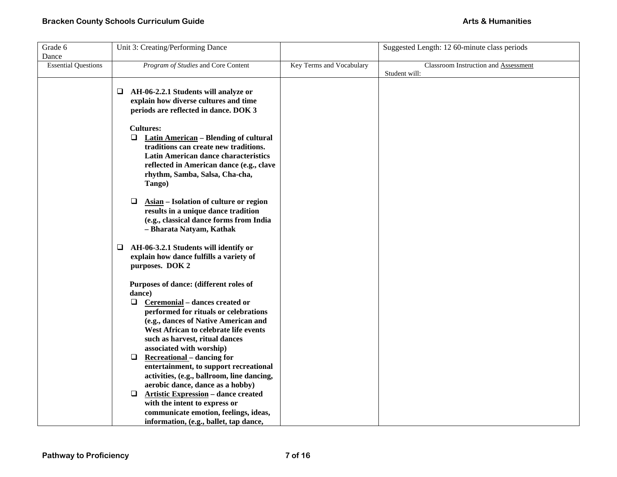| Grade 6                    | Unit 3: Creating/Performing Dance                                                                                                                                                                                                                                                                                                                                                                                                                                                                                                                                                                                             |                          | Suggested Length: 12 60-minute class periods          |
|----------------------------|-------------------------------------------------------------------------------------------------------------------------------------------------------------------------------------------------------------------------------------------------------------------------------------------------------------------------------------------------------------------------------------------------------------------------------------------------------------------------------------------------------------------------------------------------------------------------------------------------------------------------------|--------------------------|-------------------------------------------------------|
| Dance                      |                                                                                                                                                                                                                                                                                                                                                                                                                                                                                                                                                                                                                               |                          |                                                       |
| <b>Essential Questions</b> | Program of Studies and Core Content                                                                                                                                                                                                                                                                                                                                                                                                                                                                                                                                                                                           | Key Terms and Vocabulary | Classroom Instruction and Assessment<br>Student will: |
|                            | AH-06-2.2.1 Students will analyze or<br>⊔<br>explain how diverse cultures and time<br>periods are reflected in dance. DOK 3                                                                                                                                                                                                                                                                                                                                                                                                                                                                                                   |                          |                                                       |
|                            | <b>Cultures:</b><br><b>Latin American</b> – Blending of cultural<br>⊔<br>traditions can create new traditions.<br><b>Latin American dance characteristics</b><br>reflected in American dance (e.g., clave<br>rhythm, Samba, Salsa, Cha-cha,<br>Tango)                                                                                                                                                                                                                                                                                                                                                                         |                          |                                                       |
|                            | □<br>Asian - Isolation of culture or region<br>results in a unique dance tradition<br>(e.g., classical dance forms from India<br>- Bharata Natyam, Kathak                                                                                                                                                                                                                                                                                                                                                                                                                                                                     |                          |                                                       |
|                            | AH-06-3.2.1 Students will identify or<br>Q.<br>explain how dance fulfills a variety of<br>purposes. DOK 2                                                                                                                                                                                                                                                                                                                                                                                                                                                                                                                     |                          |                                                       |
|                            | Purposes of dance: (different roles of<br>dance)<br>Ceremonial - dances created or<br>Q.<br>performed for rituals or celebrations<br>(e.g., dances of Native American and<br>West African to celebrate life events<br>such as harvest, ritual dances<br>associated with worship)<br><b>Recreational</b> – dancing for<br>❏<br>entertainment, to support recreational<br>activities, (e.g., ballroom, line dancing,<br>aerobic dance, dance as a hobby)<br><b>Artistic Expression - dance created</b><br>❏<br>with the intent to express or<br>communicate emotion, feelings, ideas,<br>information, (e.g., ballet, tap dance, |                          |                                                       |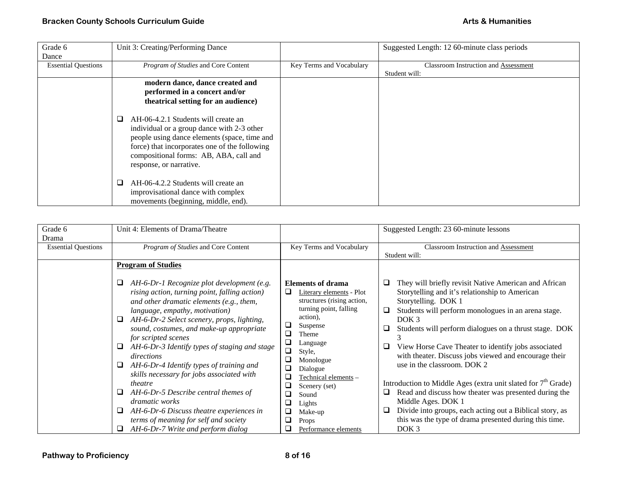| Grade 6                    | Unit 3: Creating/Performing Dance             |                          | Suggested Length: 12 60-minute class periods |
|----------------------------|-----------------------------------------------|--------------------------|----------------------------------------------|
| Dance                      |                                               |                          |                                              |
| <b>Essential Questions</b> | Program of Studies and Core Content           | Key Terms and Vocabulary | <b>Classroom Instruction and Assessment</b>  |
|                            |                                               |                          | Student will:                                |
|                            | modern dance, dance created and               |                          |                                              |
|                            | performed in a concert and/or                 |                          |                                              |
|                            | theatrical setting for an audience)           |                          |                                              |
|                            |                                               |                          |                                              |
|                            | AH-06-4.2.1 Students will create an<br>⊔      |                          |                                              |
|                            | individual or a group dance with 2-3 other    |                          |                                              |
|                            | people using dance elements (space, time and  |                          |                                              |
|                            | force) that incorporates one of the following |                          |                                              |
|                            | compositional forms: AB, ABA, call and        |                          |                                              |
|                            | response, or narrative.                       |                          |                                              |
|                            |                                               |                          |                                              |
|                            | AH-06-4.2.2 Students will create an           |                          |                                              |
|                            | improvisational dance with complex            |                          |                                              |
|                            | movements (beginning, middle, end).           |                          |                                              |

| Grade 6                    | Unit 4: Elements of Drama/Theatre                                                                                                                                                                                                                                                                                                                                                                                                                                                                                                                                                                                                                                                |                                                                                                                                                                                                                                                                                                                         | Suggested Length: 23 60-minute lessons                                                                                                                                                                                                                                                                                                                                                                                                                                                                                                                                                                                                                                                                                                  |
|----------------------------|----------------------------------------------------------------------------------------------------------------------------------------------------------------------------------------------------------------------------------------------------------------------------------------------------------------------------------------------------------------------------------------------------------------------------------------------------------------------------------------------------------------------------------------------------------------------------------------------------------------------------------------------------------------------------------|-------------------------------------------------------------------------------------------------------------------------------------------------------------------------------------------------------------------------------------------------------------------------------------------------------------------------|-----------------------------------------------------------------------------------------------------------------------------------------------------------------------------------------------------------------------------------------------------------------------------------------------------------------------------------------------------------------------------------------------------------------------------------------------------------------------------------------------------------------------------------------------------------------------------------------------------------------------------------------------------------------------------------------------------------------------------------------|
| Drama                      |                                                                                                                                                                                                                                                                                                                                                                                                                                                                                                                                                                                                                                                                                  |                                                                                                                                                                                                                                                                                                                         |                                                                                                                                                                                                                                                                                                                                                                                                                                                                                                                                                                                                                                                                                                                                         |
| <b>Essential Questions</b> | Program of Studies and Core Content                                                                                                                                                                                                                                                                                                                                                                                                                                                                                                                                                                                                                                              | Key Terms and Vocabulary                                                                                                                                                                                                                                                                                                | <b>Classroom Instruction and Assessment</b>                                                                                                                                                                                                                                                                                                                                                                                                                                                                                                                                                                                                                                                                                             |
|                            |                                                                                                                                                                                                                                                                                                                                                                                                                                                                                                                                                                                                                                                                                  |                                                                                                                                                                                                                                                                                                                         | Student will:                                                                                                                                                                                                                                                                                                                                                                                                                                                                                                                                                                                                                                                                                                                           |
|                            | <b>Program of Studies</b>                                                                                                                                                                                                                                                                                                                                                                                                                                                                                                                                                                                                                                                        |                                                                                                                                                                                                                                                                                                                         |                                                                                                                                                                                                                                                                                                                                                                                                                                                                                                                                                                                                                                                                                                                                         |
|                            | AH-6-Dr-1 Recognize plot development (e.g.<br>⊔<br>rising action, turning point, falling action)<br>and other dramatic elements (e.g., them,<br>language, empathy, motivation)<br>AH-6-Dr-2 Select scenery, props, lighting,<br>❏<br>sound, costumes, and make-up appropriate<br>for scripted scenes<br>AH-6-Dr-3 Identify types of staging and stage<br>❏<br>directions<br>AH-6-Dr-4 Identify types of training and<br>⊔<br>skills necessary for jobs associated with<br>theatre<br>AH-6-Dr-5 Describe central themes of<br>❏<br>dramatic works<br>AH-6-Dr-6 Discuss theatre experiences in<br>⊔<br>terms of meaning for self and society<br>AH-6-Dr-7 Write and perform dialog | <b>Elements of drama</b><br>Literary elements - Plot<br>u<br>structures (rising action,<br>turning point, falling<br>action),<br>Suspense<br>Theme<br>⊔<br>Language<br>❏<br>Style,<br>Monologue<br>Dialogue<br>Technical elements -<br>Scenery (set)<br>Sound<br>ights<br>Make-up<br>⊔<br>Props<br>Performance elements | They will briefly revisit Native American and African<br>Storytelling and it's relationship to American<br>Storytelling. DOK 1<br>Students will perform monologues in an arena stage.<br>❏<br>DOK <sub>3</sub><br>Students will perform dialogues on a thrust stage. DOK<br>u<br>View Horse Cave Theater to identify jobs associated<br>⊔<br>with theater. Discuss jobs viewed and encourage their<br>use in the classroom. DOK 2<br>Introduction to Middle Ages (extra unit slated for $7th$ Grade)<br>Read and discuss how theater was presented during the<br>⊔<br>Middle Ages. DOK 1<br>Divide into groups, each acting out a Biblical story, as<br>u<br>this was the type of drama presented during this time.<br>DOK <sub>3</sub> |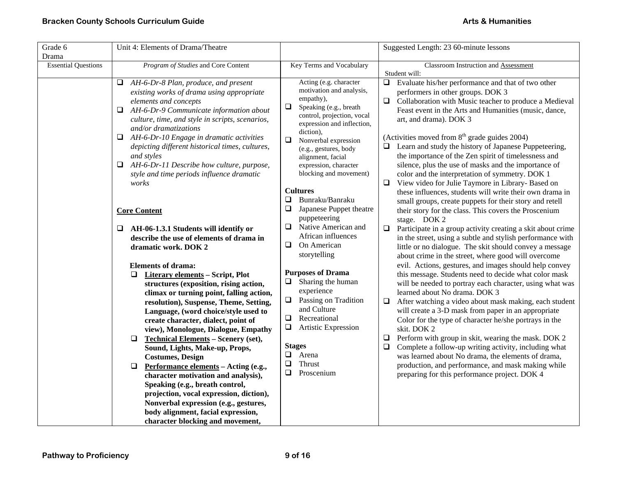| Grade 6                    | Unit 4: Elements of Drama/Theatre                                                                                                                                                                                                                                                                                                                                                                                                                                                                                                                                                                                                                                                           |                                                                                                                                                                                                                                                                                                                                                                                                                                     | Suggested Length: 23 60-minute lessons                                                                                                                                                                                                                                                                                                                                                                                                                                                                                                                                                                                                                                                                                                                                                                                                                                                                                                                                                                                                                                                                                                                                     |
|----------------------------|---------------------------------------------------------------------------------------------------------------------------------------------------------------------------------------------------------------------------------------------------------------------------------------------------------------------------------------------------------------------------------------------------------------------------------------------------------------------------------------------------------------------------------------------------------------------------------------------------------------------------------------------------------------------------------------------|-------------------------------------------------------------------------------------------------------------------------------------------------------------------------------------------------------------------------------------------------------------------------------------------------------------------------------------------------------------------------------------------------------------------------------------|----------------------------------------------------------------------------------------------------------------------------------------------------------------------------------------------------------------------------------------------------------------------------------------------------------------------------------------------------------------------------------------------------------------------------------------------------------------------------------------------------------------------------------------------------------------------------------------------------------------------------------------------------------------------------------------------------------------------------------------------------------------------------------------------------------------------------------------------------------------------------------------------------------------------------------------------------------------------------------------------------------------------------------------------------------------------------------------------------------------------------------------------------------------------------|
| Drama                      |                                                                                                                                                                                                                                                                                                                                                                                                                                                                                                                                                                                                                                                                                             |                                                                                                                                                                                                                                                                                                                                                                                                                                     |                                                                                                                                                                                                                                                                                                                                                                                                                                                                                                                                                                                                                                                                                                                                                                                                                                                                                                                                                                                                                                                                                                                                                                            |
| <b>Essential Questions</b> | Program of Studies and Core Content                                                                                                                                                                                                                                                                                                                                                                                                                                                                                                                                                                                                                                                         | Key Terms and Vocabulary                                                                                                                                                                                                                                                                                                                                                                                                            | Classroom Instruction and Assessment                                                                                                                                                                                                                                                                                                                                                                                                                                                                                                                                                                                                                                                                                                                                                                                                                                                                                                                                                                                                                                                                                                                                       |
|                            |                                                                                                                                                                                                                                                                                                                                                                                                                                                                                                                                                                                                                                                                                             |                                                                                                                                                                                                                                                                                                                                                                                                                                     | Student will:                                                                                                                                                                                                                                                                                                                                                                                                                                                                                                                                                                                                                                                                                                                                                                                                                                                                                                                                                                                                                                                                                                                                                              |
|                            | AH-6-Dr-8 Plan, produce, and present<br>❏<br>existing works of drama using appropriate<br>elements and concepts<br>AH-6-Dr-9 Communicate information about<br>$\Box$<br>culture, time, and style in scripts, scenarios,<br>and/or dramatizations<br>AH-6-Dr-10 Engage in dramatic activities<br>u.<br>depicting different historical times, cultures,<br>and styles<br>AH-6-Dr-11 Describe how culture, purpose,<br>❏                                                                                                                                                                                                                                                                       | Acting (e.g. character<br>motivation and analysis,<br>empathy),<br>❏<br>Speaking (e.g., breath<br>control, projection, vocal<br>expression and inflection,<br>diction),<br>$\Box$<br>Nonverbal expression<br>(e.g., gestures, body<br>alignment, facial<br>expression, character                                                                                                                                                    | Evaluate his/her performance and that of two other<br>$\Box$<br>performers in other groups. DOK 3<br>Collaboration with Music teacher to produce a Medieval<br>$\Box$<br>Feast event in the Arts and Humanities (music, dance,<br>art, and drama). DOK 3<br>(Activities moved from 8 <sup>th</sup> grade guides 2004)<br>$\Box$ Learn and study the history of Japanese Puppeteering,<br>the importance of the Zen spirit of timelessness and<br>silence, plus the use of masks and the importance of                                                                                                                                                                                                                                                                                                                                                                                                                                                                                                                                                                                                                                                                      |
|                            | style and time periods influence dramatic                                                                                                                                                                                                                                                                                                                                                                                                                                                                                                                                                                                                                                                   | blocking and movement)                                                                                                                                                                                                                                                                                                                                                                                                              | color and the interpretation of symmetry. DOK 1                                                                                                                                                                                                                                                                                                                                                                                                                                                                                                                                                                                                                                                                                                                                                                                                                                                                                                                                                                                                                                                                                                                            |
|                            | works                                                                                                                                                                                                                                                                                                                                                                                                                                                                                                                                                                                                                                                                                       | <b>Cultures</b>                                                                                                                                                                                                                                                                                                                                                                                                                     | View video for Julie Taymore in Library- Based on<br>❏                                                                                                                                                                                                                                                                                                                                                                                                                                                                                                                                                                                                                                                                                                                                                                                                                                                                                                                                                                                                                                                                                                                     |
|                            | <b>Core Content</b><br>AH-06-1.3.1 Students will identify or<br>⊔<br>describe the use of elements of drama in<br>dramatic work. DOK 2<br><b>Elements of drama:</b><br>$\Box$<br><b>Literary elements - Script, Plot</b><br>structures (exposition, rising action,<br>climax or turning point, falling action,<br>resolution), Suspense, Theme, Setting,<br>Language, (word choice/style used to<br>create character, dialect, point of<br>view), Monologue, Dialogue, Empathy<br><b>Technical Elements - Scenery (set),</b><br>$\Box$<br>Sound, Lights, Make-up, Props,<br><b>Costumes, Design</b><br>Performance elements - Acting (e.g.,<br>$\Box$<br>character motivation and analysis), | Bunraku/Banraku<br>❏<br>$\Box$<br>Japanese Puppet theatre<br>puppeteering<br>Native American and<br>$\Box$<br>African influences<br>$\Box$ On American<br>storytelling<br><b>Purposes of Drama</b><br>$\Box$ Sharing the human<br>experience<br>Passing on Tradition<br>$\Box$<br>and Culture<br>$\Box$<br>Recreational<br>$\Box$<br>Artistic Expression<br><b>Stages</b><br>❏<br>Arena<br>$\Box$<br>Thrust<br>$\Box$<br>Proscenium | these influences, students will write their own drama in<br>small groups, create puppets for their story and retell<br>their story for the class. This covers the Proscenium<br>stage. DOK 2<br>Participate in a group activity creating a skit about crime<br>$\Box$<br>in the street, using a subtle and stylish performance with<br>little or no dialogue. The skit should convey a message<br>about crime in the street, where good will overcome<br>evil. Actions, gestures, and images should help convey<br>this message. Students need to decide what color mask<br>will be needed to portray each character, using what was<br>learned about No drama. DOK 3<br>After watching a video about mask making, each student<br>$\Box$<br>will create a 3-D mask from paper in an appropriate<br>Color for the type of character he/she portrays in the<br>skit. DOK 2<br>Perform with group in skit, wearing the mask. DOK 2<br>$\Box$<br>Complete a follow-up writing activity, including what<br>$\Box$<br>was learned about No drama, the elements of drama,<br>production, and performance, and mask making while<br>preparing for this performance project. DOK 4 |
|                            | Speaking (e.g., breath control,<br>projection, vocal expression, diction),<br>Nonverbal expression (e.g., gestures,<br>body alignment, facial expression,<br>character blocking and movement,                                                                                                                                                                                                                                                                                                                                                                                                                                                                                               |                                                                                                                                                                                                                                                                                                                                                                                                                                     |                                                                                                                                                                                                                                                                                                                                                                                                                                                                                                                                                                                                                                                                                                                                                                                                                                                                                                                                                                                                                                                                                                                                                                            |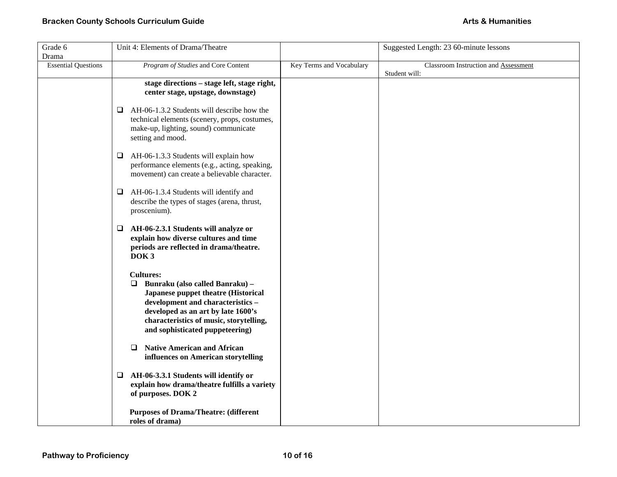| Grade 6                    | Unit 4: Elements of Drama/Theatre                                                                                                                                                                                                                         |                          | Suggested Length: 23 60-minute lessons                |
|----------------------------|-----------------------------------------------------------------------------------------------------------------------------------------------------------------------------------------------------------------------------------------------------------|--------------------------|-------------------------------------------------------|
| Drama                      |                                                                                                                                                                                                                                                           |                          |                                                       |
| <b>Essential Questions</b> | Program of Studies and Core Content                                                                                                                                                                                                                       | Key Terms and Vocabulary | Classroom Instruction and Assessment<br>Student will: |
|                            | stage directions - stage left, stage right,<br>center stage, upstage, downstage)                                                                                                                                                                          |                          |                                                       |
|                            | AH-06-1.3.2 Students will describe how the<br>⊔<br>technical elements (scenery, props, costumes,<br>make-up, lighting, sound) communicate<br>setting and mood.                                                                                            |                          |                                                       |
|                            | AH-06-1.3.3 Students will explain how<br>⊔<br>performance elements (e.g., acting, speaking,<br>movement) can create a believable character.                                                                                                               |                          |                                                       |
|                            | AH-06-1.3.4 Students will identify and<br>⊔<br>describe the types of stages (arena, thrust,<br>proscenium).                                                                                                                                               |                          |                                                       |
|                            | $\Box$ AH-06-2.3.1 Students will analyze or<br>explain how diverse cultures and time<br>periods are reflected in drama/theatre.<br>DOK <sub>3</sub>                                                                                                       |                          |                                                       |
|                            | <b>Cultures:</b><br>Q.<br>Bunraku (also called Banraku) -<br>Japanese puppet theatre (Historical<br>development and characteristics -<br>developed as an art by late 1600's<br>characteristics of music, storytelling,<br>and sophisticated puppeteering) |                          |                                                       |
|                            | <b>Native American and African</b><br>□<br>influences on American storytelling                                                                                                                                                                            |                          |                                                       |
|                            | AH-06-3.3.1 Students will identify or<br>⊔<br>explain how drama/theatre fulfills a variety<br>of purposes. DOK 2                                                                                                                                          |                          |                                                       |
|                            | <b>Purposes of Drama/Theatre: (different</b><br>roles of drama)                                                                                                                                                                                           |                          |                                                       |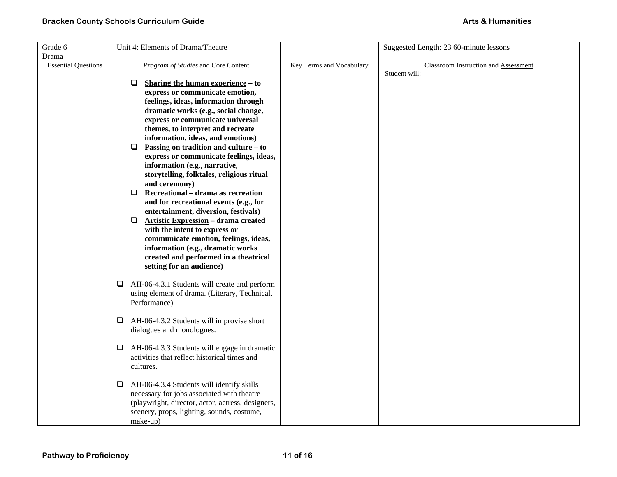| Grade 6                    | Unit 4: Elements of Drama/Theatre                                                                                                                                                                                                                                                                                                                                                                                                                                                                                                                                                                                                                                                                                                                                                                                                             |                          | Suggested Length: 23 60-minute lessons                |
|----------------------------|-----------------------------------------------------------------------------------------------------------------------------------------------------------------------------------------------------------------------------------------------------------------------------------------------------------------------------------------------------------------------------------------------------------------------------------------------------------------------------------------------------------------------------------------------------------------------------------------------------------------------------------------------------------------------------------------------------------------------------------------------------------------------------------------------------------------------------------------------|--------------------------|-------------------------------------------------------|
| Drama                      |                                                                                                                                                                                                                                                                                                                                                                                                                                                                                                                                                                                                                                                                                                                                                                                                                                               |                          |                                                       |
| <b>Essential Questions</b> | Program of Studies and Core Content                                                                                                                                                                                                                                                                                                                                                                                                                                                                                                                                                                                                                                                                                                                                                                                                           | Key Terms and Vocabulary | Classroom Instruction and Assessment<br>Student will: |
|                            | Sharing the human experience - to<br>□<br>express or communicate emotion,<br>feelings, ideas, information through<br>dramatic works (e.g., social change,<br>express or communicate universal<br>themes, to interpret and recreate<br>information, ideas, and emotions)<br>Passing on tradition and culture – to<br>$\Box$<br>express or communicate feelings, ideas,<br>information (e.g., narrative,<br>storytelling, folktales, religious ritual<br>and ceremony)<br>Recreational - drama as recreation<br>□<br>and for recreational events (e.g., for<br>entertainment, diversion, festivals)<br>$\Box$<br><b>Artistic Expression - drama created</b><br>with the intent to express or<br>communicate emotion, feelings, ideas,<br>information (e.g., dramatic works<br>created and performed in a theatrical<br>setting for an audience) |                          |                                                       |
|                            | AH-06-4.3.1 Students will create and perform<br>⊔<br>using element of drama. (Literary, Technical,<br>Performance)                                                                                                                                                                                                                                                                                                                                                                                                                                                                                                                                                                                                                                                                                                                            |                          |                                                       |
|                            | AH-06-4.3.2 Students will improvise short<br>□<br>dialogues and monologues.                                                                                                                                                                                                                                                                                                                                                                                                                                                                                                                                                                                                                                                                                                                                                                   |                          |                                                       |
|                            | AH-06-4.3.3 Students will engage in dramatic<br>⊔<br>activities that reflect historical times and<br>cultures.                                                                                                                                                                                                                                                                                                                                                                                                                                                                                                                                                                                                                                                                                                                                |                          |                                                       |
|                            | AH-06-4.3.4 Students will identify skills<br>⊔<br>necessary for jobs associated with theatre<br>(playwright, director, actor, actress, designers,<br>scenery, props, lighting, sounds, costume,<br>make-up)                                                                                                                                                                                                                                                                                                                                                                                                                                                                                                                                                                                                                                   |                          |                                                       |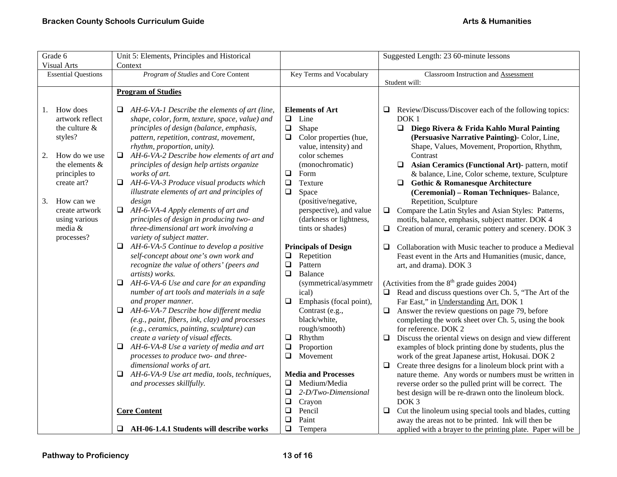| Grade 6                                                                                                                                                                                                                | Unit 5: Elements, Principles and Historical                                                                                                                                                                                                                                                                                                                                                                                                                                                                                                                                                                                                                                                                                                                                                                                                                                                                                                                                                                                                                                                                                                                                                                                                                                                                 |                                                                                                                                                                                                                                                                                                                                                                                                                                                                                                                                                                                                                                                     | Suggested Length: 23 60-minute lessons                                                                                                                                                                                                                                                                                                                                                                                                                                                                                                                                                                                                                                                                                                                                                                                                                                                                                                                                                                                                                                                                                                                                                                                                                                                                                                                                                                                                                                   |
|------------------------------------------------------------------------------------------------------------------------------------------------------------------------------------------------------------------------|-------------------------------------------------------------------------------------------------------------------------------------------------------------------------------------------------------------------------------------------------------------------------------------------------------------------------------------------------------------------------------------------------------------------------------------------------------------------------------------------------------------------------------------------------------------------------------------------------------------------------------------------------------------------------------------------------------------------------------------------------------------------------------------------------------------------------------------------------------------------------------------------------------------------------------------------------------------------------------------------------------------------------------------------------------------------------------------------------------------------------------------------------------------------------------------------------------------------------------------------------------------------------------------------------------------|-----------------------------------------------------------------------------------------------------------------------------------------------------------------------------------------------------------------------------------------------------------------------------------------------------------------------------------------------------------------------------------------------------------------------------------------------------------------------------------------------------------------------------------------------------------------------------------------------------------------------------------------------------|--------------------------------------------------------------------------------------------------------------------------------------------------------------------------------------------------------------------------------------------------------------------------------------------------------------------------------------------------------------------------------------------------------------------------------------------------------------------------------------------------------------------------------------------------------------------------------------------------------------------------------------------------------------------------------------------------------------------------------------------------------------------------------------------------------------------------------------------------------------------------------------------------------------------------------------------------------------------------------------------------------------------------------------------------------------------------------------------------------------------------------------------------------------------------------------------------------------------------------------------------------------------------------------------------------------------------------------------------------------------------------------------------------------------------------------------------------------------------|
| <b>Visual Arts</b>                                                                                                                                                                                                     | Context                                                                                                                                                                                                                                                                                                                                                                                                                                                                                                                                                                                                                                                                                                                                                                                                                                                                                                                                                                                                                                                                                                                                                                                                                                                                                                     |                                                                                                                                                                                                                                                                                                                                                                                                                                                                                                                                                                                                                                                     |                                                                                                                                                                                                                                                                                                                                                                                                                                                                                                                                                                                                                                                                                                                                                                                                                                                                                                                                                                                                                                                                                                                                                                                                                                                                                                                                                                                                                                                                          |
| <b>Essential Questions</b>                                                                                                                                                                                             | Program of Studies and Core Content                                                                                                                                                                                                                                                                                                                                                                                                                                                                                                                                                                                                                                                                                                                                                                                                                                                                                                                                                                                                                                                                                                                                                                                                                                                                         | Key Terms and Vocabulary                                                                                                                                                                                                                                                                                                                                                                                                                                                                                                                                                                                                                            | Classroom Instruction and Assessment                                                                                                                                                                                                                                                                                                                                                                                                                                                                                                                                                                                                                                                                                                                                                                                                                                                                                                                                                                                                                                                                                                                                                                                                                                                                                                                                                                                                                                     |
|                                                                                                                                                                                                                        |                                                                                                                                                                                                                                                                                                                                                                                                                                                                                                                                                                                                                                                                                                                                                                                                                                                                                                                                                                                                                                                                                                                                                                                                                                                                                                             |                                                                                                                                                                                                                                                                                                                                                                                                                                                                                                                                                                                                                                                     |                                                                                                                                                                                                                                                                                                                                                                                                                                                                                                                                                                                                                                                                                                                                                                                                                                                                                                                                                                                                                                                                                                                                                                                                                                                                                                                                                                                                                                                                          |
|                                                                                                                                                                                                                        |                                                                                                                                                                                                                                                                                                                                                                                                                                                                                                                                                                                                                                                                                                                                                                                                                                                                                                                                                                                                                                                                                                                                                                                                                                                                                                             |                                                                                                                                                                                                                                                                                                                                                                                                                                                                                                                                                                                                                                                     |                                                                                                                                                                                                                                                                                                                                                                                                                                                                                                                                                                                                                                                                                                                                                                                                                                                                                                                                                                                                                                                                                                                                                                                                                                                                                                                                                                                                                                                                          |
| How does<br>1.<br>artwork reflect<br>the culture &<br>styles?<br>How do we use<br>2.<br>the elements &<br>principles to<br>create art?<br>How can we<br>3.<br>create artwork<br>using various<br>media &<br>processes? | <b>Program of Studies</b><br>AH-6-VA-1 Describe the elements of art (line,<br>shape, color, form, texture, space, value) and<br>principles of design (balance, emphasis,<br>pattern, repetition, contrast, movement,<br>rhythm, proportion, unity).<br>$\Box$ AH-6-VA-2 Describe how elements of art and<br>principles of design help artists organize<br>works of art.<br>$\Box$<br>AH-6-VA-3 Produce visual products which<br>illustrate elements of art and principles of<br>design<br>$\Box$ AH-6-VA-4 Apply elements of art and<br>principles of design in producing two- and<br>three-dimensional art work involving a<br>variety of subject matter.<br>$\Box$ AH-6-VA-5 Continue to develop a positive<br>self-concept about one's own work and<br>recognize the value of others' (peers and<br>artists) works.<br>AH-6-VA-6 Use and care for an expanding<br>❏<br>number of art tools and materials in a safe<br>and proper manner.<br>AH-6-VA-7 Describe how different media<br>❏<br>(e.g., paint, fibers, ink, clay) and processes<br>(e.g., ceramics, painting, sculpture) can<br>create a variety of visual effects.<br>AH-6-VA-8 Use a variety of media and art<br>Q.<br>processes to produce two- and three-<br>dimensional works of art.<br>AH-6-VA-9 Use art media, tools, techniques,<br>⊔ | <b>Elements of Art</b><br>$\Box$<br>Line<br>$\Box$<br>Shape<br>$\Box$<br>Color properties (hue,<br>value, intensity) and<br>color schemes<br>(monochromatic)<br>$\Box$<br>Form<br>$\Box$<br>Texture<br>$\Box$<br>Space<br>(positive/negative,<br>perspective), and value<br>(darkness or lightness,<br>tints or shades)<br><b>Principals of Design</b><br>Repetition<br>$\Box$<br>Pattern<br>$\Box$<br>$\Box$<br>Balance<br>(symmetrical/asymmetr<br>ical)<br>$\Box$<br>Emphasis (focal point),<br>Contrast (e.g.,<br>black/white,<br>rough/smooth)<br>$\Box$<br>Rhythm<br>$\Box$<br>Proportion<br>$\Box$<br>Movement<br><b>Media and Processes</b> | Student will:<br>Review/Discuss/Discover each of the following topics:<br>□<br>DOK <sub>1</sub><br>$\Box$ Diego Rivera & Frida Kahlo Mural Painting<br>(Persuasive Narrative Painting) - Color, Line,<br>Shape, Values, Movement, Proportion, Rhythm,<br>Contrast<br>Asian Ceramics (Functional Art)- pattern, motif<br>$\Box$<br>& balance, Line, Color scheme, texture, Sculpture<br>$\Box$ Gothic & Romanesque Architecture<br>(Ceremonial) - Roman Techniques-Balance,<br>Repetition, Sculpture<br>Compare the Latin Styles and Asian Styles: Patterns,<br>$\Box$<br>motifs, balance, emphasis, subject matter. DOK 4<br>$\Box$<br>Creation of mural, ceramic pottery and scenery. DOK 3<br>$\Box$<br>Collaboration with Music teacher to produce a Medieval<br>Feast event in the Arts and Humanities (music, dance,<br>art, and drama). DOK 3<br>(Activities from the $8th$ grade guides 2004)<br>$\Box$ Read and discuss questions over Ch. 5, "The Art of the<br>Far East," in Understanding Art. DOK 1<br>Answer the review questions on page 79, before<br>$\Box$<br>completing the work sheet over Ch. 5, using the book<br>for reference. DOK 2<br>$\Box$ Discuss the oriental views on design and view different<br>examples of block printing done by students, plus the<br>work of the great Japanese artist, Hokusai. DOK 2<br>$\Box$<br>Create three designs for a linoleum block print with a<br>nature theme. Any words or numbers must be written in |
|                                                                                                                                                                                                                        | and processes skillfully.                                                                                                                                                                                                                                                                                                                                                                                                                                                                                                                                                                                                                                                                                                                                                                                                                                                                                                                                                                                                                                                                                                                                                                                                                                                                                   | $\Box$<br>Medium/Media                                                                                                                                                                                                                                                                                                                                                                                                                                                                                                                                                                                                                              | reverse order so the pulled print will be correct. The                                                                                                                                                                                                                                                                                                                                                                                                                                                                                                                                                                                                                                                                                                                                                                                                                                                                                                                                                                                                                                                                                                                                                                                                                                                                                                                                                                                                                   |
|                                                                                                                                                                                                                        |                                                                                                                                                                                                                                                                                                                                                                                                                                                                                                                                                                                                                                                                                                                                                                                                                                                                                                                                                                                                                                                                                                                                                                                                                                                                                                             | $\Box$<br>2-D/Two-Dimensional                                                                                                                                                                                                                                                                                                                                                                                                                                                                                                                                                                                                                       | best design will be re-drawn onto the linoleum block.                                                                                                                                                                                                                                                                                                                                                                                                                                                                                                                                                                                                                                                                                                                                                                                                                                                                                                                                                                                                                                                                                                                                                                                                                                                                                                                                                                                                                    |
|                                                                                                                                                                                                                        |                                                                                                                                                                                                                                                                                                                                                                                                                                                                                                                                                                                                                                                                                                                                                                                                                                                                                                                                                                                                                                                                                                                                                                                                                                                                                                             | $\Box$<br>Crayon                                                                                                                                                                                                                                                                                                                                                                                                                                                                                                                                                                                                                                    | DOK <sub>3</sub>                                                                                                                                                                                                                                                                                                                                                                                                                                                                                                                                                                                                                                                                                                                                                                                                                                                                                                                                                                                                                                                                                                                                                                                                                                                                                                                                                                                                                                                         |
|                                                                                                                                                                                                                        | <b>Core Content</b>                                                                                                                                                                                                                                                                                                                                                                                                                                                                                                                                                                                                                                                                                                                                                                                                                                                                                                                                                                                                                                                                                                                                                                                                                                                                                         | $\Box$<br>Pencil                                                                                                                                                                                                                                                                                                                                                                                                                                                                                                                                                                                                                                    | Cut the linoleum using special tools and blades, cutting<br>$\Box$                                                                                                                                                                                                                                                                                                                                                                                                                                                                                                                                                                                                                                                                                                                                                                                                                                                                                                                                                                                                                                                                                                                                                                                                                                                                                                                                                                                                       |
|                                                                                                                                                                                                                        |                                                                                                                                                                                                                                                                                                                                                                                                                                                                                                                                                                                                                                                                                                                                                                                                                                                                                                                                                                                                                                                                                                                                                                                                                                                                                                             | $\Box$<br>Paint                                                                                                                                                                                                                                                                                                                                                                                                                                                                                                                                                                                                                                     | away the areas not to be printed. Ink will then be                                                                                                                                                                                                                                                                                                                                                                                                                                                                                                                                                                                                                                                                                                                                                                                                                                                                                                                                                                                                                                                                                                                                                                                                                                                                                                                                                                                                                       |
|                                                                                                                                                                                                                        | AH-06-1.4.1 Students will describe works                                                                                                                                                                                                                                                                                                                                                                                                                                                                                                                                                                                                                                                                                                                                                                                                                                                                                                                                                                                                                                                                                                                                                                                                                                                                    | $\Box$<br>Tempera                                                                                                                                                                                                                                                                                                                                                                                                                                                                                                                                                                                                                                   | applied with a brayer to the printing plate. Paper will be                                                                                                                                                                                                                                                                                                                                                                                                                                                                                                                                                                                                                                                                                                                                                                                                                                                                                                                                                                                                                                                                                                                                                                                                                                                                                                                                                                                                               |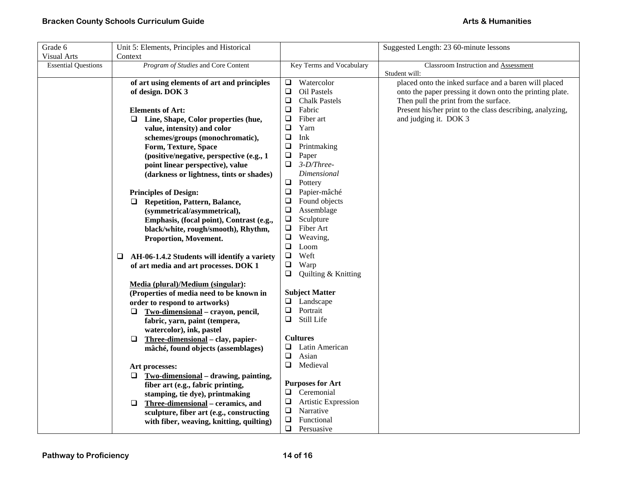| Grade 6                    | Unit 5: Elements, Principles and Historical        |                                | Suggested Length: 23 60-minute lessons                    |
|----------------------------|----------------------------------------------------|--------------------------------|-----------------------------------------------------------|
| <b>Visual Arts</b>         | Context                                            |                                |                                                           |
| <b>Essential Questions</b> | Program of Studies and Core Content                | Key Terms and Vocabulary       | <b>Classroom Instruction and Assessment</b>               |
|                            |                                                    |                                | Student will:                                             |
|                            | of art using elements of art and principles        | $\Box$ Watercolor              | placed onto the inked surface and a baren will placed     |
|                            | of design. DOK 3                                   | Oil Pastels<br>$\Box$          | onto the paper pressing it down onto the printing plate.  |
|                            |                                                    | $\Box$<br><b>Chalk Pastels</b> | Then pull the print from the surface.                     |
|                            | <b>Elements of Art:</b>                            | Fabric<br>$\Box$               | Present his/her print to the class describing, analyzing, |
|                            | Line, Shape, Color properties (hue,<br>□           | ❏<br>Fiber art                 | and judging it. DOK 3                                     |
|                            | value, intensity) and color                        | $\Box$<br>Yarn                 |                                                           |
|                            | schemes/groups (monochromatic),                    | $\Box$<br>Ink                  |                                                           |
|                            | Form, Texture, Space                               | $\Box$<br>Printmaking          |                                                           |
|                            | (positive/negative, perspective (e.g., 1)          | $\Box$<br>Paper                |                                                           |
|                            | point linear perspective), value                   | $\Box$<br>$3-D/Three-$         |                                                           |
|                            | (darkness or lightness, tints or shades)           | Dimensional                    |                                                           |
|                            |                                                    | $\Box$<br>Pottery              |                                                           |
|                            | <b>Principles of Design:</b>                       | $\Box$<br>Papier-mâché         |                                                           |
|                            | <b>Repetition, Pattern, Balance,</b><br>⊔          | $\Box$<br>Found objects        |                                                           |
|                            | (symmetrical/asymmetrical),                        | Assemblage<br>❏                |                                                           |
|                            | Emphasis, (focal point), Contrast (e.g.,           | $\Box$<br>Sculpture            |                                                           |
|                            | black/white, rough/smooth), Rhythm,                | $\Box$<br>Fiber Art            |                                                           |
|                            | Proportion, Movement.                              | $\Box$<br>Weaving,             |                                                           |
|                            |                                                    | $\Box$<br>Loom                 |                                                           |
|                            | AH-06-1.4.2 Students will identify a variety<br>Q. | $\Box$<br>Weft                 |                                                           |
|                            | of art media and art processes. DOK 1              | Warp<br>0                      |                                                           |
|                            |                                                    | Quilting & Knitting<br>❏       |                                                           |
|                            | Media (plural)/Medium (singular):                  |                                |                                                           |
|                            | (Properties of media need to be known in           | <b>Subject Matter</b>          |                                                           |
|                            | order to respond to artworks)                      | $\Box$ Landscape               |                                                           |
|                            | Two-dimensional - crayon, pencil,<br>❏             | $\Box$<br>Portrait             |                                                           |
|                            | fabric, yarn, paint (tempera,                      | Still Life<br>Q                |                                                           |
|                            | watercolor), ink, pastel                           |                                |                                                           |
|                            | Three-dimensional - clay, papier-<br>□             | <b>Cultures</b>                |                                                           |
|                            | mâché, found objects (assemblages)                 | ❏<br>Latin American            |                                                           |
|                            |                                                    | Asian<br>$\Box$                |                                                           |
|                            | Art processes:                                     | $\Box$<br>Medieval             |                                                           |
|                            | Two-dimensional – drawing, painting,<br>□          |                                |                                                           |
|                            | fiber art (e.g., fabric printing,                  | <b>Purposes for Art</b>        |                                                           |
|                            | stamping, tie dye), printmaking                    | Ceremonial<br>$\Box$           |                                                           |
|                            | Three-dimensional – ceramics, and<br>$\Box$        | $\Box$<br>Artistic Expression  |                                                           |
|                            | sculpture, fiber art (e.g., constructing           | $\Box$<br>Narrative            |                                                           |
|                            | with fiber, weaving, knitting, quilting)           | $\Box$<br>Functional           |                                                           |
|                            |                                                    | $\Box$<br>Persuasive           |                                                           |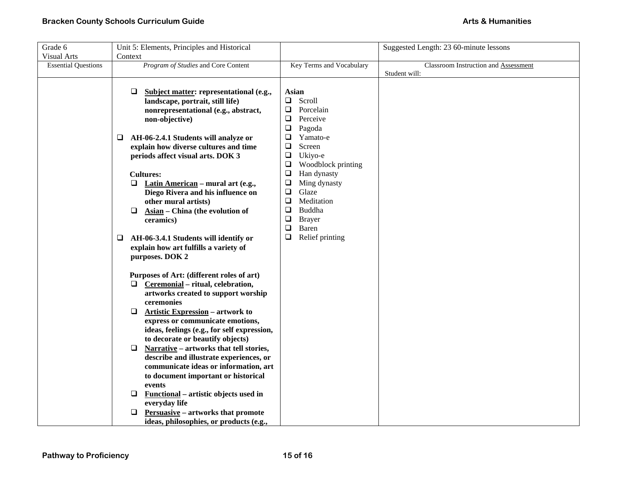| Grade 6                    | Unit 5: Elements, Principles and Historical       |                                           | Suggested Length: 23 60-minute lessons |
|----------------------------|---------------------------------------------------|-------------------------------------------|----------------------------------------|
| <b>Visual Arts</b>         | Context                                           |                                           |                                        |
| <b>Essential Questions</b> | Program of Studies and Core Content               | Key Terms and Vocabulary                  | Classroom Instruction and Assessment   |
|                            |                                                   |                                           | Student will:                          |
|                            |                                                   |                                           |                                        |
|                            | Subject matter: representational (e.g.,<br>⊔      | <b>Asian</b>                              |                                        |
|                            | landscape, portrait, still life)                  | $\Box$ Scroll                             |                                        |
|                            | nonrepresentational (e.g., abstract,              | $\Box$<br>Porcelain                       |                                        |
|                            | non-objective)                                    | Perceive<br>❏                             |                                        |
|                            |                                                   | $\Box$<br>Pagoda                          |                                        |
|                            | AH-06-2.4.1 Students will analyze or<br>⊔         | ❏<br>Yamato-e                             |                                        |
|                            | explain how diverse cultures and time             | $\Box$<br>Screen                          |                                        |
|                            | periods affect visual arts. DOK 3                 | Ukiyo-e<br>❏                              |                                        |
|                            |                                                   | $\Box$<br>Woodblock printing              |                                        |
|                            | <b>Cultures:</b>                                  | $\Box$<br>Han dynasty                     |                                        |
|                            | Latin American - mural art (e.g.,<br>❏            | $\Box$<br>Ming dynasty<br>$\Box$<br>Glaze |                                        |
|                            | Diego Rivera and his influence on                 | Meditation<br>$\Box$                      |                                        |
|                            | other mural artists)                              | Buddha<br>$\Box$                          |                                        |
|                            | Asian - China (the evolution of<br>$\Box$         | $\Box$<br><b>Brayer</b>                   |                                        |
|                            | ceramics)                                         | $\Box$<br>Baren                           |                                        |
|                            | AH-06-3.4.1 Students will identify or<br>⊔        | ❏<br>Relief printing                      |                                        |
|                            | explain how art fulfills a variety of             |                                           |                                        |
|                            | purposes. DOK 2                                   |                                           |                                        |
|                            |                                                   |                                           |                                        |
|                            | Purposes of Art: (different roles of art)         |                                           |                                        |
|                            | Ceremonial - ritual, celebration,<br>⊔            |                                           |                                        |
|                            | artworks created to support worship               |                                           |                                        |
|                            | ceremonies                                        |                                           |                                        |
|                            | <b>Artistic Expression - artwork to</b><br>⊔      |                                           |                                        |
|                            | express or communicate emotions,                  |                                           |                                        |
|                            | ideas, feelings (e.g., for self expression,       |                                           |                                        |
|                            | to decorate or beautify objects)                  |                                           |                                        |
|                            | ❏<br>Narrative - artworks that tell stories,      |                                           |                                        |
|                            | describe and illustrate experiences, or           |                                           |                                        |
|                            | communicate ideas or information, art             |                                           |                                        |
|                            | to document important or historical               |                                           |                                        |
|                            | events                                            |                                           |                                        |
|                            | <b>Functional</b> – artistic objects used in<br>⊔ |                                           |                                        |
|                            | everyday life                                     |                                           |                                        |
|                            | Persuasive - artworks that promote<br>❏           |                                           |                                        |
|                            | ideas, philosophies, or products (e.g.,           |                                           |                                        |